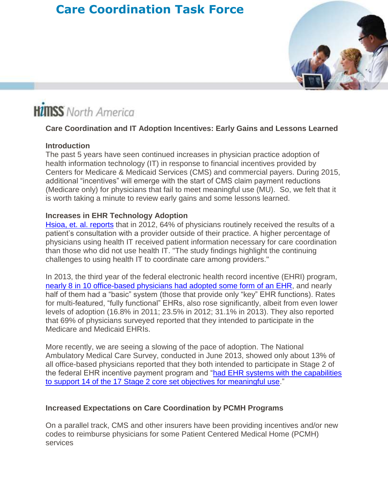# **Care Coordination Task Force**



# **HimSS** North America

#### **Care Coordination and IT Adoption Incentives: Early Gains and Lessons Learned**

#### **Introduction**

The past 5 years have seen continued increases in physician practice adoption of health information technology (IT) in response to financial incentives provided by Centers for Medicare & Medicaid Services (CMS) and commercial payers. During 2015, additional "incentives" will emerge with the start of CMS claim payment reductions (Medicare only) for physicians that fail to meet meaningful use (MU). So, we felt that it is worth taking a minute to review early gains and some lessons learned.

#### **Increases in EHR Technology Adoption**

[Hsioa, et. al. reports](http://journals.lww.com/lww-medicalcare/Abstract/2015/02000/The_Role_of_Health_Information_Technology_in_Care.12.aspx) that in 2012, 64% of physicians routinely received the results of a patient's consultation with a provider outside of their practice. A higher percentage of physicians using health IT received patient information necessary for care coordination than those who did not use health IT. "The study findings highlight the continuing challenges to using health IT to coordinate care among providers."

In 2013, the third year of the federal electronic health record incentive (EHRI) program, [nearly 8 in 10 office-based physicians had adopted some form of an](http://www.modernhealthcare.com/article/20140120/NEWS/301209957) EHR, and nearly half of them had a "basic" system (those that provide only "key" EHR functions). Rates for multi-featured, "fully functional" EHRs, also rose significantly, albeit from even lower levels of adoption (16.8% in 2011; 23.5% in 2012; 31.1% in 2013). They also reported that 69% of physicians surveyed reported that they intended to participate in the Medicare and Medicaid EHRIs.

More recently, we are seeing a slowing of the pace of adoption. The National Ambulatory Medical Care Survey, conducted in June 2013, showed only about 13% of all office-based physicians reported that they both intended to participate in Stage 2 of the federal EHR incentive payment program and ["had EHR systems with the capabilities](http://www.modernhealthcare.com/article/20140120/NEWS/301209957)  [to support 14 of the 17 Stage 2 core set objectives for meaningful use.](http://www.modernhealthcare.com/article/20140120/NEWS/301209957)"

#### **Increased Expectations on Care Coordination by PCMH Programs**

On a parallel track, CMS and other insurers have been providing incentives and/or new codes to reimburse physicians for some Patient Centered Medical Home (PCMH) services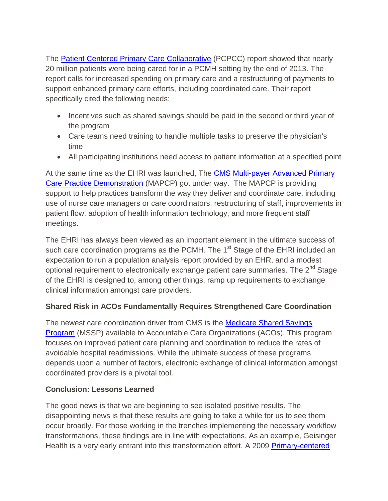The [Patient Centered Primary Care Collaborative](https://www.pcpcc.org/2015/02/09/new-report-highlights-savings-achieved-medical-homes) (PCPCC) report showed that nearly 20 million patients were being cared for in a PCMH setting by the end of 2013. The report calls for increased spending on primary care and a restructuring of payments to support enhanced primary care efforts, including coordinated care. Their report specifically cited the following needs:

- Incentives such as shared savings should be paid in the second or third year of the program
- Care teams need training to handle multiple tasks to preserve the physician's time
- All participating institutions need access to patient information at a specified point

At the same time as the EHRI was launched, The CMS Multi-payer Advanced Primary [Care Practice Demonstration](http://innovation.cms.gov/initiatives/Multi-Payer-Advanced-Primary-Care-Practice/) (MAPCP) got under way. The MAPCP is providing support to help practices transform the way they deliver and coordinate care, including use of nurse care managers or care coordinators, restructuring of staff, improvements in patient flow, adoption of health information technology, and more frequent staff meetings.

The EHRI has always been viewed as an important element in the ultimate success of such care coordination programs as the PCMH. The  $1<sup>st</sup>$  Stage of the EHRI included an expectation to run a population analysis report provided by an EHR, and a modest optional requirement to electronically exchange patient care summaries. The 2<sup>nd</sup> Stage of the EHRI is designed to, among other things, ramp up requirements to exchange clinical information amongst care providers.

# **Shared Risk in ACOs Fundamentally Requires Strengthened Care Coordination**

The newest care coordination driver from CMS is the [Medicare Shared Savings](https://www.cms.gov/Medicare/Medicare-Fee-for-Service-Payment/sharedsavingsprogram/index.html?redirect=/sharedsavingsprogram/)  [Program](https://www.cms.gov/Medicare/Medicare-Fee-for-Service-Payment/sharedsavingsprogram/index.html?redirect=/sharedsavingsprogram/) (MSSP) available to Accountable Care Organizations (ACOs). This program focuses on improved patient care planning and coordination to reduce the rates of avoidable hospital readmissions. While the ultimate success of these programs depends upon a number of factors, electronic exchange of clinical information amongst coordinated providers is a pivotal tool.

# **Conclusion: Lessons Learned**

The good news is that we are beginning to see isolated positive results. The disappointing news is that these results are going to take a while for us to see them occur broadly. For those working in the trenches implementing the necessary workflow transformations, these findings are in line with expectations. As an example, Geisinger Health is a very early entrant into this transformation effort. A 2009 [Primary-centered](http://www.pcdc.org/resources/patient-centered-medical-home/pcdc-pcmh/pcdc-pcmh-resources/toolkit-appendix/1_outcomes-of-implementing-pcmh.pdf)